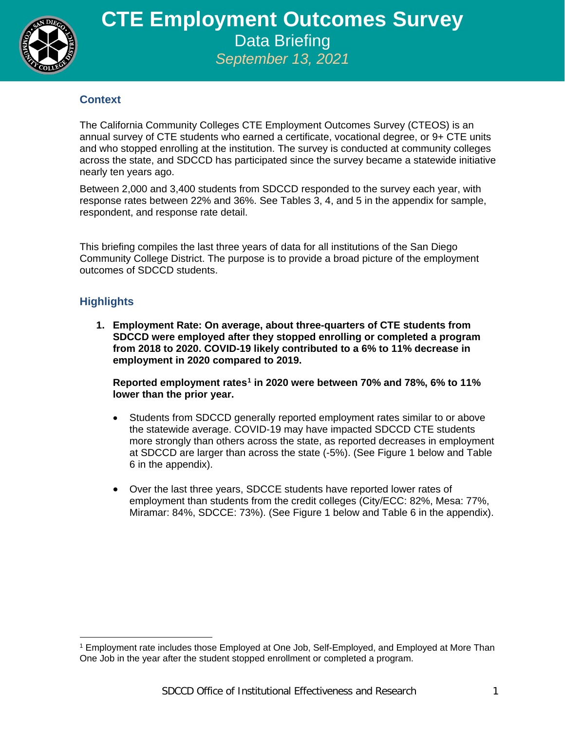

## **Context**

The California Community Colleges CTE Employment Outcomes Survey (CTEOS) is an annual survey of CTE students who earned a certificate, vocational degree, or 9+ CTE units and who stopped enrolling at the institution. The survey is conducted at community colleges across the state, and SDCCD has participated since the survey became a statewide initiative nearly ten years ago.

Between 2,000 and 3,400 students from SDCCD responded to the survey each year, with response rates between 22% and 36%. See Tables 3, 4, and 5 in the appendix for sample, respondent, and response rate detail.

This briefing compiles the last three years of data for all institutions of the San Diego Community College District. The purpose is to provide a broad picture of the employment outcomes of SDCCD students.

## **Highlights**

 $\overline{a}$ 

**1. Employment Rate: On average, about three-quarters of CTE students from SDCCD were employed after they stopped enrolling or completed a program from 2018 to 2020. COVID-19 likely contributed to a 6% to 11% decrease in employment in 2020 compared to 2019.**

**Reported employment rates[1](#page-0-0) in 2020 were between 70% and 78%, 6% to 11% lower than the prior year.**

- Students from SDCCD generally reported employment rates similar to or above the statewide average. COVID-19 may have impacted SDCCD CTE students more strongly than others across the state, as reported decreases in employment at SDCCD are larger than across the state (-5%). (See Figure 1 below and Table 6 in the appendix).
- Over the last three years, SDCCE students have reported lower rates of employment than students from the credit colleges (City/ECC: 82%, Mesa: 77%, Miramar: 84%, SDCCE: 73%). (See Figure 1 below and Table 6 in the appendix).

<span id="page-0-0"></span><sup>1</sup> Employment rate includes those Employed at One Job, Self-Employed, and Employed at More Than One Job in the year after the student stopped enrollment or completed a program.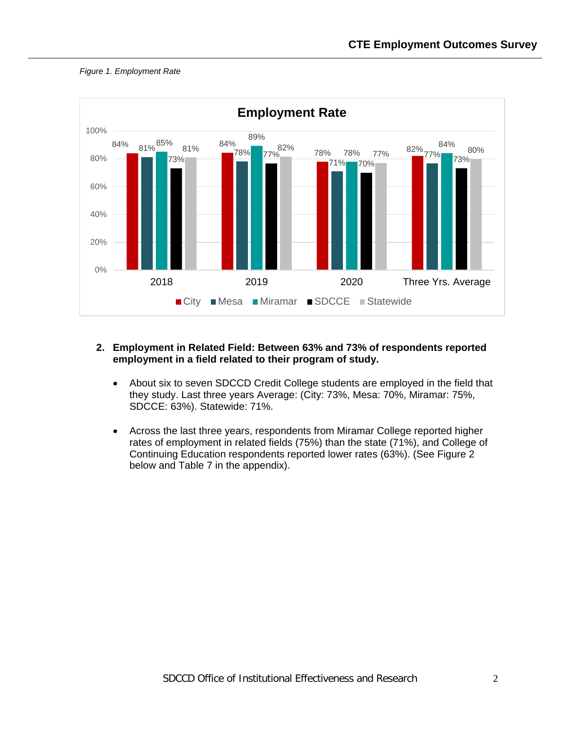



### **2. Employment in Related Field: Between 63% and 73% of respondents reported employment in a field related to their program of study.**

- About six to seven SDCCD Credit College students are employed in the field that they study. Last three years Average: (City: 73%, Mesa: 70%, Miramar: 75%, SDCCE: 63%). Statewide: 71%.
- Across the last three years, respondents from Miramar College reported higher rates of employment in related fields (75%) than the state (71%), and College of Continuing Education respondents reported lower rates (63%). (See Figure 2 below and Table 7 in the appendix).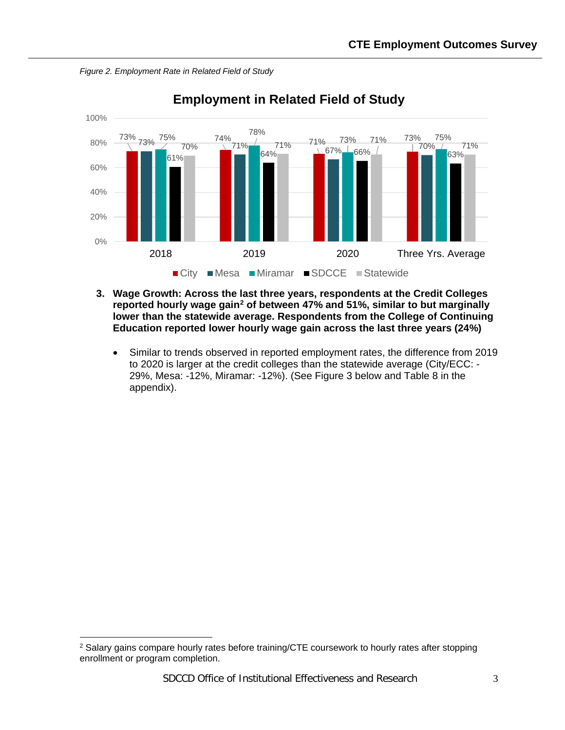*Figure 2. Employment Rate in Related Field of Study*



**Employment in Related Field of Study**

- **3. Wage Growth: Across the last three years, respondents at the Credit Colleges reported hourly wage gain[2](#page-2-0) of between 47% and 51%, similar to but marginally lower than the statewide average. Respondents from the College of Continuing Education reported lower hourly wage gain across the last three years (24%)**
	- Similar to trends observed in reported employment rates, the difference from 2019 to 2020 is larger at the credit colleges than the statewide average (City/ECC: - 29%, Mesa: -12%, Miramar: -12%). (See Figure 3 below and Table 8 in the appendix).

 $\overline{a}$ 

<span id="page-2-0"></span><sup>&</sup>lt;sup>2</sup> Salary gains compare hourly rates before training/CTE coursework to hourly rates after stopping enrollment or program completion.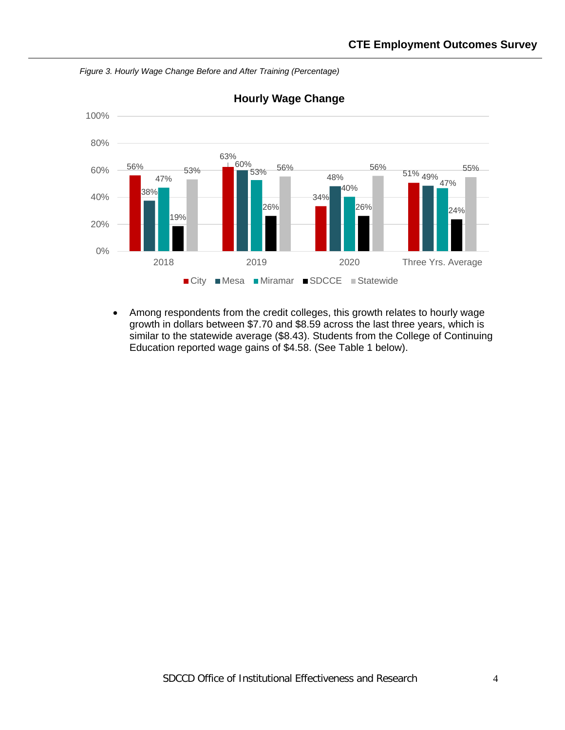

*Figure 3. Hourly Wage Change Before and After Training (Percentage)*

• Among respondents from the credit colleges, this growth relates to hourly wage growth in dollars between \$7.70 and \$8.59 across the last three years, which is similar to the statewide average (\$8.43). Students from the College of Continuing Education reported wage gains of \$4.58. (See Table 1 below).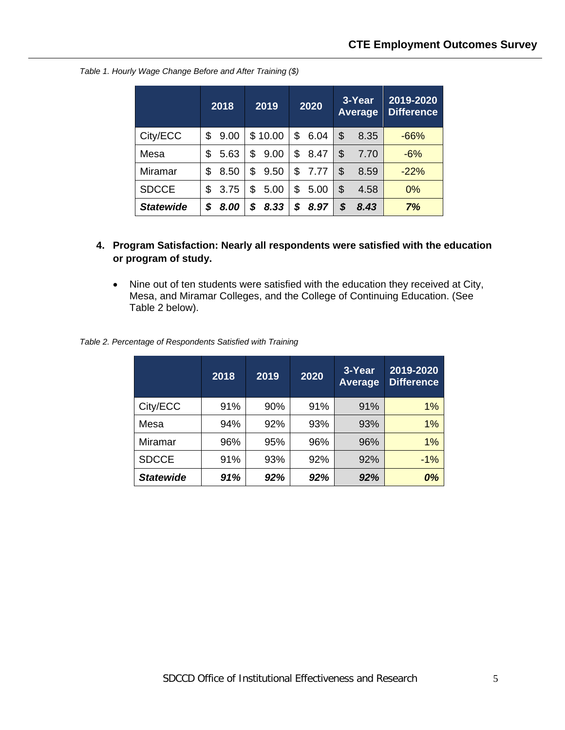|                  | 2018       |    | 2019    |    | 2020 | 3-Year<br>Average | 2019-2020<br><b>Difference</b> |
|------------------|------------|----|---------|----|------|-------------------|--------------------------------|
| City/ECC         | \$<br>9.00 |    | \$10.00 | \$ | 6.04 | \$<br>8.35        | $-66%$                         |
| Mesa             | \$<br>5.63 | \$ | 9.00    | \$ | 8.47 | \$<br>7.70        | $-6%$                          |
| Miramar          | \$<br>8.50 | \$ | 9.50    | \$ | 7.77 | \$<br>8.59        | $-22%$                         |
| <b>SDCCE</b>     | \$<br>3.75 | \$ | 5.00    | S  | 5.00 | \$<br>4.58        | 0%                             |
| <b>Statewide</b> | \$<br>8.00 | S  | 8.33    | S  | 8.97 | \$<br>8.43        | 7%                             |

*Table 1. Hourly Wage Change Before and After Training (\$)*

- **4. Program Satisfaction: Nearly all respondents were satisfied with the education or program of study.**
	- Nine out of ten students were satisfied with the education they received at City, Mesa, and Miramar Colleges, and the College of Continuing Education. (See Table 2 below).

*Table 2. Percentage of Respondents Satisfied with Training*

|                  | 2018 | 2019 | 2020 | 3-Year<br><b>Average</b> | 2019-2020<br><b>Difference</b> |
|------------------|------|------|------|--------------------------|--------------------------------|
| City/ECC         | 91%  | 90%  | 91%  | 91%                      | 1%                             |
| Mesa             | 94%  | 92%  | 93%  | 93%                      | 1%                             |
| Miramar          | 96%  | 95%  | 96%  | 96%                      | 1%                             |
| <b>SDCCE</b>     | 91%  | 93%  | 92%  | 92%                      | $-1%$                          |
| <b>Statewide</b> | 91%  | 92%  | 92%  | 92%                      | 0%                             |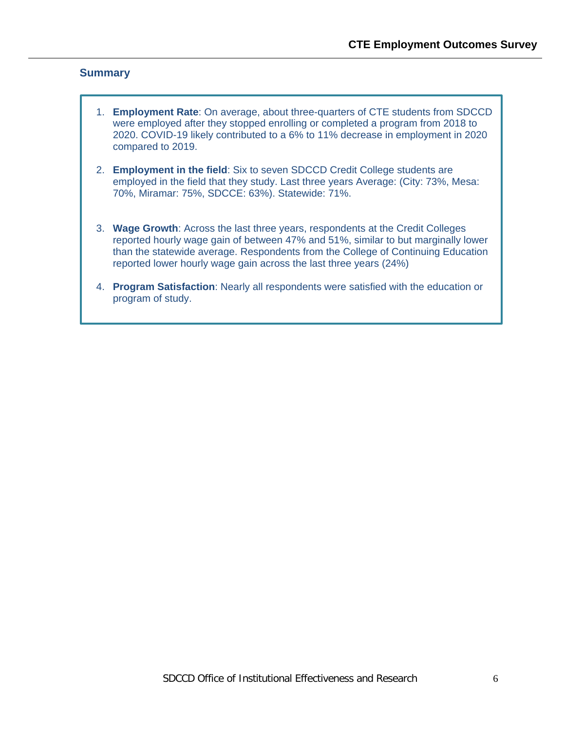### **Summary**

- 1. **Employment Rate**: On average, about three-quarters of CTE students from SDCCD were employed after they stopped enrolling or completed a program from 2018 to 2020. COVID-19 likely contributed to a 6% to 11% decrease in employment in 2020 compared to 2019.
- 2. **Employment in the field**: Six to seven SDCCD Credit College students are employed in the field that they study. Last three years Average: (City: 73%, Mesa: 70%, Miramar: 75%, SDCCE: 63%). Statewide: 71%.
- 3. **Wage Growth**: Across the last three years, respondents at the Credit Colleges reported hourly wage gain of between 47% and 51%, similar to but marginally lower than the statewide average. Respondents from the College of Continuing Education reported lower hourly wage gain across the last three years (24%)
- 4. **Program Satisfaction**: Nearly all respondents were satisfied with the education or program of study.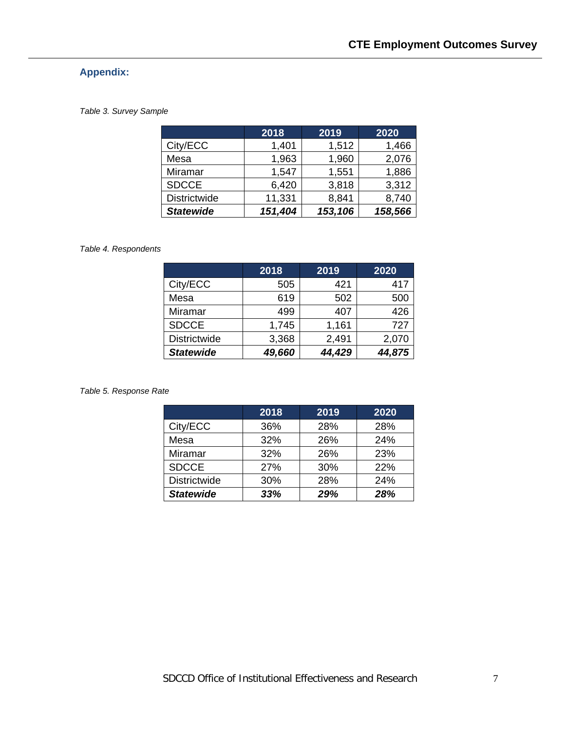# **Appendix:**

#### *Table 3. Survey Sample*

|                     | 2018    | 2019    | 2020    |
|---------------------|---------|---------|---------|
| City/ECC            | 1,401   | 1,512   | 1,466   |
| Mesa                | 1,963   | 1,960   | 2,076   |
| Miramar             | 1,547   | 1,551   | 1,886   |
| <b>SDCCE</b>        | 6,420   | 3,818   | 3,312   |
| <b>Districtwide</b> | 11,331  | 8,841   | 8,740   |
| <b>Statewide</b>    | 151,404 | 153,106 | 158,566 |

#### *Table 4. Respondents*

|                     | 2018   | 2019   | 2020   |
|---------------------|--------|--------|--------|
| City/ECC            | 505    | 421    | 417    |
| Mesa                | 619    | 502    | 500    |
| Miramar             | 499    | 407    | 426    |
| <b>SDCCE</b>        | 1,745  | 1,161  | 727    |
| <b>Districtwide</b> | 3,368  | 2,491  | 2,070  |
| <b>Statewide</b>    | 49,660 | 44,429 | 44,875 |

*Table 5. Response Rate*

|                     | 2018 | 2019 | 2020 |
|---------------------|------|------|------|
| City/ECC            | 36%  | 28%  | 28%  |
| Mesa                | 32%  | 26%  | 24%  |
| Miramar             | 32%  | 26%  | 23%  |
| <b>SDCCE</b>        | 27%  | 30%  | 22%  |
| <b>Districtwide</b> | 30%  | 28%  | 24%  |
| <b>Statewide</b>    | 33%  | 29%  | 28%  |